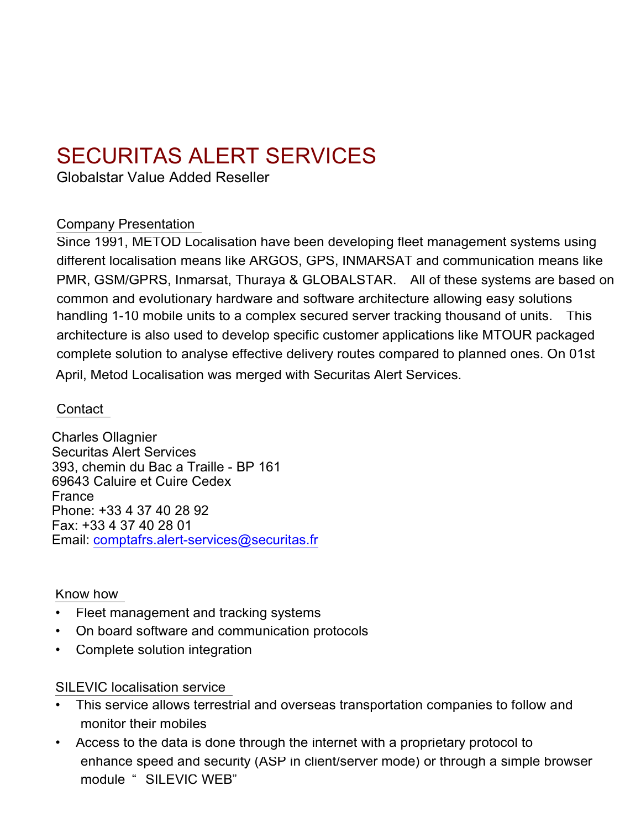# SECURITAS ALERT SERVICES

Globalstar Value Added Reseller

## Company Presentation

Since 1991, METOD Localisation have been developing fleet management systems using different localisation means like ARGOS, GPS, INMARSAT and communication means like PMR, GSM/GPRS, Inmarsat, Thuraya & GLOBALSTAR. All of these systems are based on common and evolutionary hardware and software architecture allowing easy solutions handling 1-10 mobile units to a complex secured server tracking thousand of units. This architecture is also used to develop specific customer applications like MTOUR packaged complete solution to analyse effective delivery routes compared to planned ones. On 01st April, Metod Localisation was merged with Securitas Alert Services.

# **Contact**

Charles Ollagnier Securitas Alert Services 393, chemin du Bac a Traille - BP 161 69643 Caluire et Cuire Cedex France Phone: +33 4 37 40 28 92 Fax: +33 4 37 40 28 01 Email: comptafrs.alert-services@securitas.fr

#### Know how

- Fleet management and tracking systems
- On board software and communication protocols
- Complete solution integration

SILEVIC localisation service

- This service allows terrestrial and overseas transportation companies to follow and monitor their mobiles
- Access to the data is done through the internet with a proprietary protocol to enhance speed and security (ASP in client/server mode) or through a simple browser module " SILEVIC WEB"